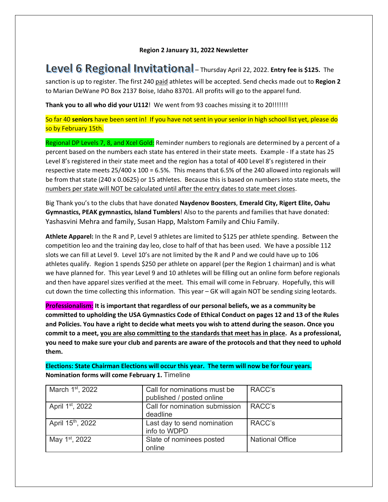#### **Region 2 January 31, 2022 Newsletter**

**Level 6 Regional Invitational** - Thursday April 22, 2022. **Entry fee is \$125.** The

sanction is up to register. The first 240 paid athletes will be accepted. Send checks made out to **Region 2** to Marian DeWane PO Box 2137 Boise, Idaho 83701. All profits will go to the apparel fund.

**Thank you to all who did your U112**! We went from 93 coaches missing it to 20!!!!!!!

So far 40 **seniors** have been sent in! If you have not sent in your senior in high school list yet, please do so by February 15th.

Regional DP Levels 7, 8, and Xcel Gold: Reminder numbers to regionals are determined by a percent of a percent based on the numbers each state has entered in their state meets. Example - If a state has 25 Level 8's registered in their state meet and the region has a total of 400 Level 8's registered in their respective state meets  $25/400 \times 100 = 6.5\%$ . This means that 6.5% of the 240 allowed into regionals will be from that state (240 x 0.0625) or 15 athletes. Because this is based on numbers into state meets, the numbers per state will NOT be calculated until after the entry dates to state meet closes.

Big Thank you's to the clubs that have donated **Naydenov Boosters**, **Emerald City, Rigert Elite, Oahu Gymnastics, PEAK gymnastics, Island Tumblers**! Also to the parents and families that have donated: Yashasvini Mehra and family, Susan Happ, Malstom Family and Chiu Family.

**Athlete Apparel:** In the R and P, Level 9 athletes are limited to \$125 per athlete spending. Between the competition leo and the training day leo, close to half of that has been used. We have a possible 112 slots we can fill at Level 9. Level 10's are not limited by the R and P and we could have up to 106 athletes qualify. Region 1 spends \$250 per athlete on apparel (per the Region 1 chairman) and is what we have planned for. This year Level 9 and 10 athletes will be filling out an online form before regionals and then have apparel sizes verified at the meet. This email will come in February. Hopefully, this will cut down the time collecting this information. This year – GK will again NOT be sending sizing leotards.

**Professionalism: It is important that regardless of our personal beliefs, we as a community be committed to upholding the USA Gymnastics Code of Ethical Conduct on pages 12 and 13 of the Rules and Policies. You have a right to decide what meets you wish to attend during the season. Once you commit to a meet, you are also committing to the standards that meet has in place. As a professional, you need to make sure your club and parents are aware of the protocols and that they need to uphold them.** 

**Elections: State Chairman Elections will occur this year. The term will now be for four years. Nomination forms will come February 1.** Timeline

| March 1 <sup>st</sup> , 2022  | Call for nominations must be<br>published / posted online | RACC's                 |
|-------------------------------|-----------------------------------------------------------|------------------------|
| April 1 <sup>st</sup> , 2022  | Call for nomination submission<br>deadline                | RACC's                 |
| April 15 <sup>th</sup> , 2022 | Last day to send nomination<br>info to WDPD               | RACC's                 |
| May 1 <sup>st</sup> , 2022    | Slate of nominees posted<br>online                        | <b>National Office</b> |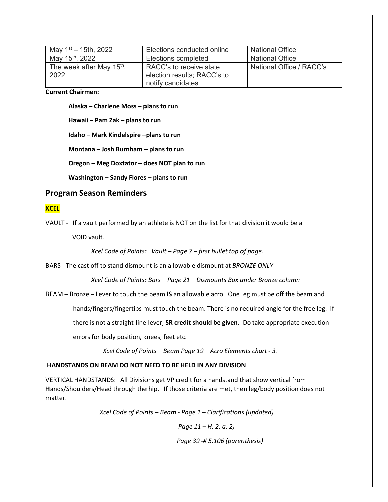| May $1st - 15th$ , 2022     | Elections conducted online  | <b>National Office</b>   |
|-----------------------------|-----------------------------|--------------------------|
| May 15 <sup>th</sup> , 2022 | Elections completed         | <b>National Office</b>   |
| The week after May $15th$ , | RACC's to receive state     | National Office / RACC's |
| 2022                        | election results; RACC's to |                          |
|                             | notify candidates           |                          |

**Current Chairmen:** 

**Alaska – Charlene Moss – plans to run**

**Hawaii – Pam Zak – plans to run**

**Idaho – Mark Kindelspire –plans to run**

**Montana – Josh Burnham – plans to run**

**Oregon – Meg Doxtator – does NOT plan to run**

**Washington – Sandy Flores – plans to run**

# **Program Season Reminders**

### **XCEL**

VAULT - If a vault performed by an athlete is NOT on the list for that division it would be a

VOID vault*.* 

*Xcel Code of Points: Vault – Page 7 – first bullet top of page.*

BARS - The cast off to stand dismount is an allowable dismount at *BRONZE ONLY*

*Xcel Code of Points: Bars – Page 21 – Dismounts Box under Bronze column*

BEAM – Bronze – Lever to touch the beam **IS** an allowable acro. One leg must be off the beam and

hands/fingers/fingertips must touch the beam. There is no required angle for the free leg. If

there is not a straight-line lever, **SR credit should be given.** Do take appropriate execution

errors for body position, knees, feet etc.

 *Xcel Code of Points – Beam Page 19 – Acro Elements chart - 3.*

#### **HANDSTANDS ON BEAM DO NOT NEED TO BE HELD IN ANY DIVISION**

VERTICAL HANDSTANDS: All Divisions get VP credit for a handstand that show vertical from Hands/Shoulders/Head through the hip. If those criteria are met, then leg/body position does not matter.

 *Xcel Code of Points – Beam - Page 1 – Clarifications (updated)*

 *Page 11 – H. 2. a. 2)*

 *Page 39 -# 5.106 (parenthesis)*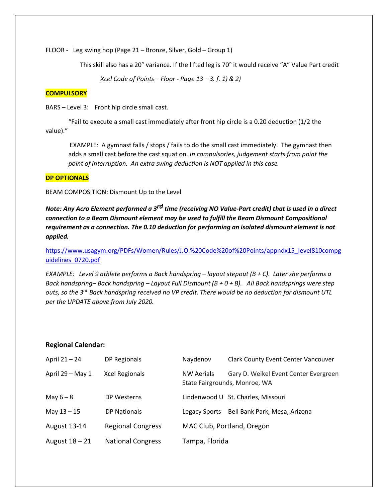FLOOR - Leg swing hop (Page 21 – Bronze, Silver, Gold – Group 1)

This skill also has a 20° variance. If the lifted leg is 70° it would receive "A" Value Part credit

 *Xcel Code of Points – Floor - Page 13 – 3. f. 1) & 2)*

# **COMPULSORY**

BARS – Level 3: Front hip circle small cast.

"Fail to execute a small cast immediately after front hip circle is a  $0.20$  deduction (1/2 the value)."

EXAMPLE: A gymnast falls / stops / fails to do the small cast immediately. The gymnast then adds a small cast before the cast squat on. *In compulsories, judgement starts from point the point of interruption. An extra swing deduction Is NOT applied in this case.*

# **DP OPTIONALS**

BEAM COMPOSITION: Dismount Up to the Level

*Note: Any Acro Element performed a 3rd time (receiving NO Value-Part credit) that is used in a direct connection to a Beam Dismount element may be used to fulfill the Beam Dismount Compositional requirement as a connection. The 0.10 deduction for performing an isolated dismount element is not applied.* 

[https://www.usagym.org/PDFs/Women/Rules/J.O.%20Code%20of%20Points/appndx15\\_level810compg](https://www.usagym.org/PDFs/Women/Rules/J.O.%20Code%20of%20Points/appndx15_level810compguidelines_0720.pdf) [uidelines\\_0720.pdf](https://www.usagym.org/PDFs/Women/Rules/J.O.%20Code%20of%20Points/appndx15_level810compguidelines_0720.pdf)

*EXAMPLE: Level 9 athlete performs a Back handspring – layout stepout (B + C). Later she performs a Back handspring– Back handspring – Layout Full Dismount (B + 0 + B). All Back handsprings were step outs, so the 3rd Back handspring received no VP credit. There would be no deduction for dismount UTL per the UPDATE above from July 2020.*

# **Regional Calendar:**

| April 21 – 24       | DP Regionals             | Naydenov          | <b>Clark County Event Center Vancouver</b>                             |
|---------------------|--------------------------|-------------------|------------------------------------------------------------------------|
| April 29 - May 1    | <b>Xcel Regionals</b>    | <b>NW Aerials</b> | Gary D. Weikel Event Center Evergreen<br>State Fairgrounds, Monroe, WA |
| May $6-8$           | DP Westerns              |                   | Lindenwood U St. Charles, Missouri                                     |
| May $13 - 15$       | DP Nationals             | Legacy Sports     | Bell Bank Park, Mesa, Arizona                                          |
| <b>August 13-14</b> | <b>Regional Congress</b> |                   | MAC Club, Portland, Oregon                                             |
| August $18 - 21$    | <b>National Congress</b> | Tampa, Florida    |                                                                        |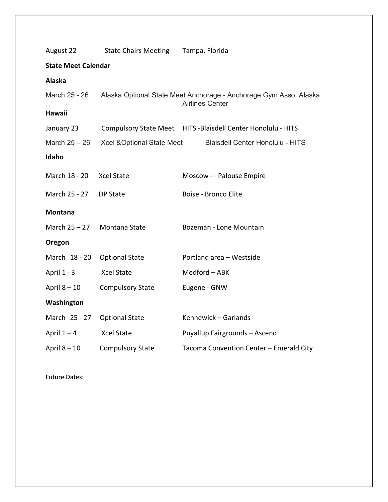| August 22                  | <b>State Chairs Meeting</b>                                                                 | Tampa, Florida                                                |  |  |  |  |
|----------------------------|---------------------------------------------------------------------------------------------|---------------------------------------------------------------|--|--|--|--|
| <b>State Meet Calendar</b> |                                                                                             |                                                               |  |  |  |  |
| Alaska                     |                                                                                             |                                                               |  |  |  |  |
| March 25 - 26              | Alaska Optional State Meet Anchorage - Anchorage Gym Asso. Alaska<br><b>Airlines Center</b> |                                                               |  |  |  |  |
| <b>Hawaii</b>              |                                                                                             |                                                               |  |  |  |  |
| January 23                 |                                                                                             | Compulsory State Meet HITS - Blaisdell Center Honolulu - HITS |  |  |  |  |
| March $25 - 26$            | Xcel & Optional State Meet                                                                  | <b>Blaisdell Center Honolulu - HITS</b>                       |  |  |  |  |
| Idaho                      |                                                                                             |                                                               |  |  |  |  |
| March 18 - 20              | <b>Xcel State</b>                                                                           | Moscow - Palouse Empire                                       |  |  |  |  |
| March 25 - 27              | DP State                                                                                    | Boise - Bronco Elite                                          |  |  |  |  |
| <b>Montana</b>             |                                                                                             |                                                               |  |  |  |  |
| March 25 - 27              | Montana State                                                                               | Bozeman - Lone Mountain                                       |  |  |  |  |
| Oregon                     |                                                                                             |                                                               |  |  |  |  |
| March 18 - 20              | <b>Optional State</b>                                                                       | Portland area - Westside                                      |  |  |  |  |
| April 1 - 3                | <b>Xcel State</b>                                                                           | Medford - ABK                                                 |  |  |  |  |
| April $8 - 10$             | <b>Compulsory State</b>                                                                     | Eugene - GNW                                                  |  |  |  |  |
| Washington                 |                                                                                             |                                                               |  |  |  |  |
| March 25 - 27              | <b>Optional State</b>                                                                       | Kennewick - Garlands                                          |  |  |  |  |
| April $1 - 4$              | <b>Xcel State</b>                                                                           | Puyallup Fairgrounds - Ascend                                 |  |  |  |  |
| April $8 - 10$             | <b>Compulsory State</b>                                                                     | Tacoma Convention Center - Emerald City                       |  |  |  |  |

Future Dates: